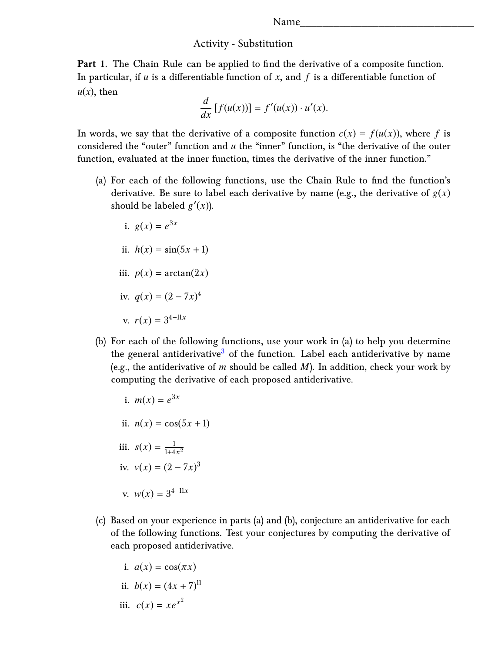## Activity - Substitution

**Part 1.** The Chain Rule can be applied to find the derivative of a composite function. In particular, if *u* is a differentiable function of *x*, and *f* is a differentiable function of  $u(x)$ , then

$$
\frac{d}{dx}[f(u(x))] = f'(u(x)) \cdot u'(x).
$$

In words, we say that the derivative of a composite function  $c(x) = f(u(x))$ , where f is considered the "outer" function and *u* the "inner" function, is "the derivative of the outer function, evaluated at the inner function, times the derivative of the inner function."

- (a) For each of the following functions, use the Chain Rule to find the function's derivative. Be sure to label each derivative by name (e.g., the derivative of  $g(x)$ ) should be labeled  $g'(x)$ ).
	- i.  $g(x) = e^{3x}$ ii.  $h(x) = \sin(5x + 1)$ iii.  $p(x) = \arctan(2x)$ iv.  $q(x) = (2 - 7x)^4$ v.  $r(x) = 3^{4-11x}$
- (b) For each of the following functions, use your work in (a) to help you determine the general antiderivative<sup>3</sup> of the function. Label each antiderivative by name (e.g., the antiderivative of *m* should be called *M*). In addition, check your work by computing the derivative of each proposed antiderivative.

i. 
$$
m(x) = e^{3x}
$$
  
\nii.  $n(x) = \cos(5x + 1)$   
\niii.  $s(x) = \frac{1}{1+4x^2}$   
\niv.  $v(x) = (2 - 7x)^3$   
\nv.  $w(x) = 3^{4-11x}$ 

- (c) Based on your experience in parts (a) and (b), conjecture an antiderivative for each of the following functions. Test your conjectures by computing the derivative of each proposed antiderivative.
	- i.  $a(x) = \cos(\pi x)$ ii.  $b(x) = (4x + 7)^{11}$ iii.  $c(x) = xe^{x^2}$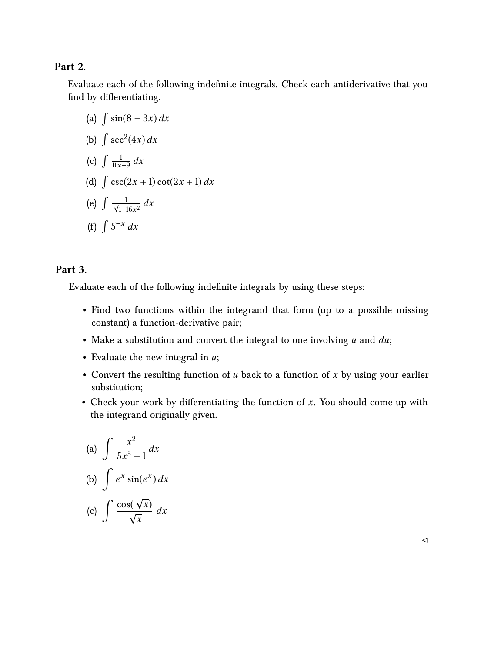## **Part 2.**

Evaluate each of the following indefinite integrals. Check each antiderivative that you find by differentiating.

(a)  $\int \sin(8 - 3x) dx$ 

(b) 
$$
\int \sec^2(4x) dx
$$

$$
(c) \int \frac{1}{11x-9} dx
$$

(d)  $\int \csc(2x + 1) \cot(2x + 1) dx$ 

(e) 
$$
\int \frac{1}{\sqrt{1-16x^2}} dx
$$
  
(f) 
$$
\int 5^{-x} dx
$$

## **Part 3.**

Evaluate each of the following indefinite integrals by using these steps:

- Find two functions within the integrand that form (up to a possible missing constant) a function-derivative pair;
- Make a substitution and convert the integral to one involving *u* and *du*;
- Evaluate the new integral in *u*;
- Convert the resulting function of *u* back to a function of *x* by using your earlier substitution;
- Check your work by differentiating the function of *x*. You should come up with the integrand originally given.

(a) 
$$
\int \frac{x^2}{5x^3 + 1} dx
$$
  
\n(b) 
$$
\int e^x \sin(e^x) dx
$$
  
\n(c) 
$$
\int \frac{\cos(\sqrt{x})}{\sqrt{x}} dx
$$

 $\triangleleft$